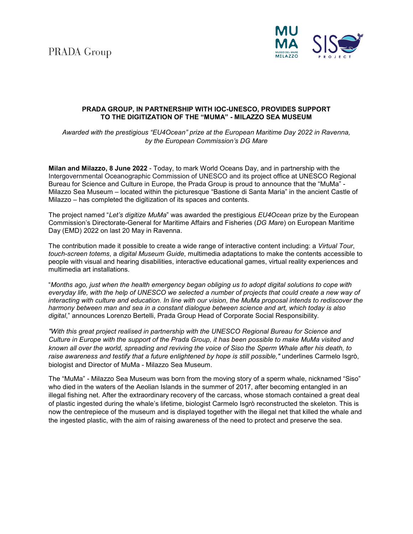**PRADA** Group



## **PRADA GROUP, IN PARTNERSHIP WITH IOC-UNESCO, PROVIDES SUPPORT TO THE DIGITIZATION OF THE "MUMA" - MILAZZO SEA MUSEUM**

*Awarded with the prestigious "EU4Ocean" prize at the European Maritime Day 2022 in Ravenna, by the European Commission's DG Mare*

**Milan and Milazzo, 8 June 2022** - Today, to mark World Oceans Day, and in partnership with the Intergovernmental Oceanographic Commission of UNESCO and its project office at UNESCO Regional Bureau for Science and Culture in Europe, the Prada Group is proud to announce that the "MuMa" - Milazzo Sea Museum – located within the picturesque "Bastione di Santa Maria" in the ancient Castle of Milazzo – has completed the digitization of its spaces and contents.

The project named "*Let's digitize MuMa*" was awarded the prestigious *EU4Ocean* prize by the European Commission's Directorate-General for Maritime Affairs and Fisheries (*DG Mare*) on European Maritime Day (EMD) 2022 on last 20 May in Ravenna.

The contribution made it possible to create a wide range of interactive content including: a *Virtual Tour*, *touch-screen totems*, a *digital Museum Guide*, multimedia adaptations to make the contents accessible to people with visual and hearing disabilities, interactive educational games, virtual reality experiences and multimedia art installations.

"*Months ago, just when the health emergency began obliging us to adopt digital solutions to cope with* everyday life, with the help of UNESCO we selected a number of projects that could create a new way of interacting with culture and education. In line with our vision, the MuMa proposal intends to rediscover the *harmony between man and sea in a constant dialogue between science and art, which today is also digital*," announces Lorenzo Bertelli, Prada Group Head of Corporate Social Responsibility.

*"With this great project realised in partnership with the UNESCO Regional Bureau for Science and Culture in Europe with the support of the Prada Group, it has been possible to make MuMa visited and known all over the world, spreading and reviving the voice of Siso the Sperm Whale after his death, to raise awareness and testify that a future enlightened by hope is still possible,"* underlines Carmelo Isgrò, biologist and Director of MuMa - Milazzo Sea Museum.

The "MuMa" - Milazzo Sea Museum was born from the moving story of a sperm whale, nicknamed "Siso" who died in the waters of the Aeolian Islands in the summer of 2017, after becoming entangled in an illegal fishing net. After the extraordinary recovery of the carcass, whose stomach contained a great deal of plastic ingested during the whale's lifetime, biologist Carmelo Isgrò reconstructed the skeleton. This is now the centrepiece of the museum and is displayed together with the illegal net that killed the whale and the ingested plastic, with the aim of raising awareness of the need to protect and preserve the sea.